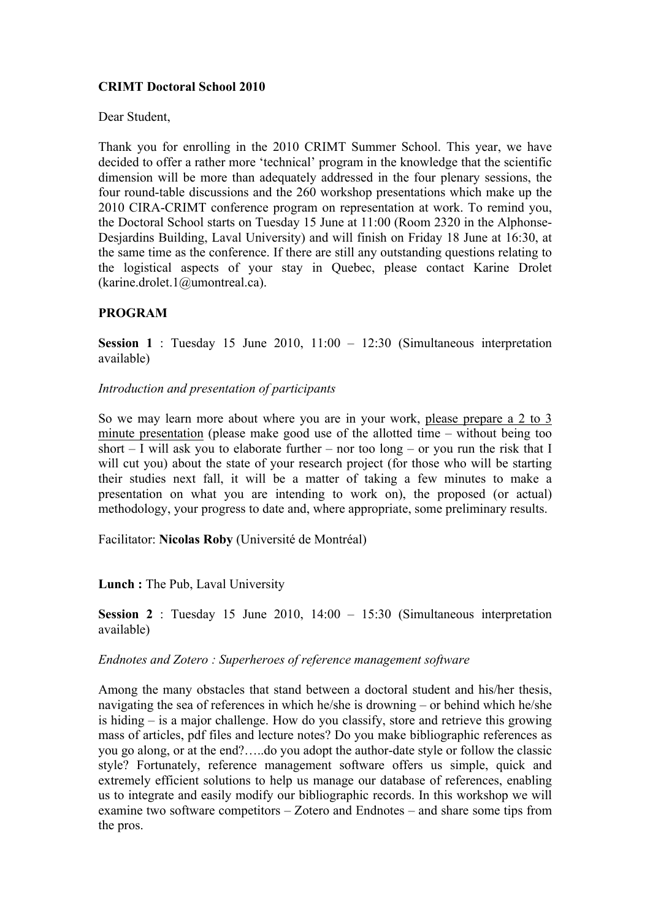## **CRIMT Doctoral School 2010**

Dear Student,

Thank you for enrolling in the 2010 CRIMT Summer School. This year, we have decided to offer a rather more 'technical' program in the knowledge that the scientific dimension will be more than adequately addressed in the four plenary sessions, the four round-table discussions and the 260 workshop presentations which make up the 2010 CIRA-CRIMT conference program on representation at work. To remind you, the Doctoral School starts on Tuesday 15 June at 11:00 (Room 2320 in the Alphonse-Desjardins Building, Laval University) and will finish on Friday 18 June at 16:30, at the same time as the conference. If there are still any outstanding questions relating to the logistical aspects of your stay in Quebec, please contact Karine Drolet (karine.drolet.1@umontreal.ca).

## **PROGRAM**

**Session 1** : Tuesday 15 June 2010, 11:00 – 12:30 (Simultaneous interpretation available)

#### *Introduction and presentation of participants*

So we may learn more about where you are in your work, please prepare a 2 to 3 minute presentation (please make good use of the allotted time – without being too short – I will ask you to elaborate further – nor too long – or you run the risk that I will cut you) about the state of your research project (for those who will be starting their studies next fall, it will be a matter of taking a few minutes to make a presentation on what you are intending to work on), the proposed (or actual) methodology, your progress to date and, where appropriate, some preliminary results.

Facilitator: **Nicolas Roby** (Université de Montréal)

## **Lunch :** The Pub, Laval University

**Session 2** : Tuesday 15 June 2010, 14:00 – 15:30 (Simultaneous interpretation available)

## *Endnotes and Zotero : Superheroes of reference management software*

Among the many obstacles that stand between a doctoral student and his/her thesis, navigating the sea of references in which he/she is drowning – or behind which he/she is hiding – is a major challenge. How do you classify, store and retrieve this growing mass of articles, pdf files and lecture notes? Do you make bibliographic references as you go along, or at the end?…..do you adopt the author-date style or follow the classic style? Fortunately, reference management software offers us simple, quick and extremely efficient solutions to help us manage our database of references, enabling us to integrate and easily modify our bibliographic records. In this workshop we will examine two software competitors – Zotero and Endnotes – and share some tips from the pros.